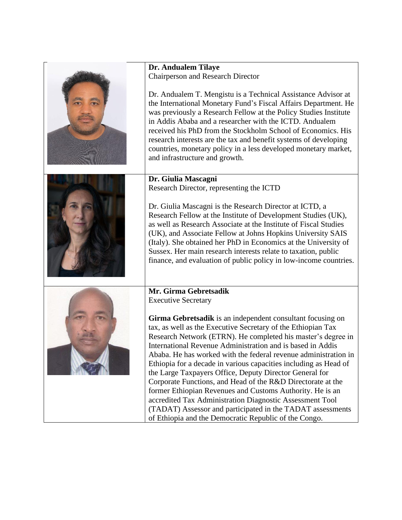| Dr. Andualem Tilaye<br><b>Chairperson and Research Director</b>                                                                                                                                                                                                                                                                                                                                                                                                                                                                                                                                                                                                                                                                                                           |
|---------------------------------------------------------------------------------------------------------------------------------------------------------------------------------------------------------------------------------------------------------------------------------------------------------------------------------------------------------------------------------------------------------------------------------------------------------------------------------------------------------------------------------------------------------------------------------------------------------------------------------------------------------------------------------------------------------------------------------------------------------------------------|
| Dr. Andualem T. Mengistu is a Technical Assistance Advisor at<br>the International Monetary Fund's Fiscal Affairs Department. He<br>was previously a Research Fellow at the Policy Studies Institute<br>in Addis Ababa and a researcher with the ICTD. Andualem<br>received his PhD from the Stockholm School of Economics. His<br>research interests are the tax and benefit systems of developing<br>countries, monetary policy in a less developed monetary market,<br>and infrastructure and growth.                                                                                                                                                                                                                                                                  |
| Dr. Giulia Mascagni                                                                                                                                                                                                                                                                                                                                                                                                                                                                                                                                                                                                                                                                                                                                                       |
| Research Director, representing the ICTD                                                                                                                                                                                                                                                                                                                                                                                                                                                                                                                                                                                                                                                                                                                                  |
| Dr. Giulia Mascagni is the Research Director at ICTD, a<br>Research Fellow at the Institute of Development Studies (UK),<br>as well as Research Associate at the Institute of Fiscal Studies<br>(UK), and Associate Fellow at Johns Hopkins University SAIS<br>(Italy). She obtained her PhD in Economics at the University of<br>Sussex. Her main research interests relate to taxation, public<br>finance, and evaluation of public policy in low-income countries.                                                                                                                                                                                                                                                                                                     |
| Mr. Girma Gebretsadik                                                                                                                                                                                                                                                                                                                                                                                                                                                                                                                                                                                                                                                                                                                                                     |
| <b>Executive Secretary</b>                                                                                                                                                                                                                                                                                                                                                                                                                                                                                                                                                                                                                                                                                                                                                |
| Girma Gebretsadik is an independent consultant focusing on<br>tax, as well as the Executive Secretary of the Ethiopian Tax<br>Research Network (ETRN). He completed his master's degree in<br>International Revenue Administration and is based in Addis<br>Ababa. He has worked with the federal revenue administration in<br>Ethiopia for a decade in various capacities including as Head of<br>the Large Taxpayers Office, Deputy Director General for<br>Corporate Functions, and Head of the R&D Directorate at the<br>former Ethiopian Revenues and Customs Authority. He is an<br>accredited Tax Administration Diagnostic Assessment Tool<br>(TADAT) Assessor and participated in the TADAT assessments<br>of Ethiopia and the Democratic Republic of the Congo. |
|                                                                                                                                                                                                                                                                                                                                                                                                                                                                                                                                                                                                                                                                                                                                                                           |